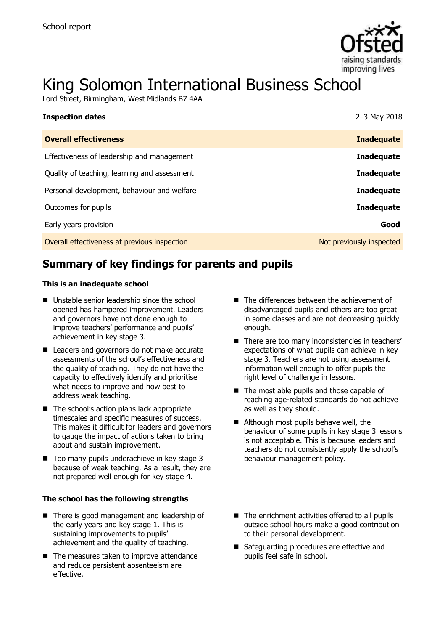

# King Solomon International Business School

Lord Street, Birmingham, West Midlands B7 4AA

| <b>Inspection dates</b>                      | 2-3 May 2018             |
|----------------------------------------------|--------------------------|
| <b>Overall effectiveness</b>                 | <b>Inadequate</b>        |
| Effectiveness of leadership and management   | <b>Inadequate</b>        |
| Quality of teaching, learning and assessment | <b>Inadequate</b>        |
| Personal development, behaviour and welfare  | Inadequate               |
| Outcomes for pupils                          | <b>Inadequate</b>        |
| Early years provision                        | Good                     |
| Overall effectiveness at previous inspection | Not previously inspected |

# **Summary of key findings for parents and pupils**

#### **This is an inadequate school**

- Unstable senior leadership since the school opened has hampered improvement. Leaders and governors have not done enough to improve teachers' performance and pupils' achievement in key stage 3.
- Leaders and governors do not make accurate assessments of the school's effectiveness and the quality of teaching. They do not have the capacity to effectively identify and prioritise what needs to improve and how best to address weak teaching.
- The school's action plans lack appropriate timescales and specific measures of success. This makes it difficult for leaders and governors to gauge the impact of actions taken to bring about and sustain improvement.
- $\blacksquare$  Too many pupils underachieve in key stage 3 because of weak teaching. As a result, they are not prepared well enough for key stage 4.

#### **The school has the following strengths**

- There is good management and leadership of the early years and key stage 1. This is sustaining improvements to pupils' achievement and the quality of teaching.
- The measures taken to improve attendance and reduce persistent absenteeism are effective.
- The differences between the achievement of disadvantaged pupils and others are too great in some classes and are not decreasing quickly enough.
- There are too many inconsistencies in teachers' expectations of what pupils can achieve in key stage 3. Teachers are not using assessment information well enough to offer pupils the right level of challenge in lessons.
- The most able pupils and those capable of reaching age-related standards do not achieve as well as they should.
- Although most pupils behave well, the behaviour of some pupils in key stage 3 lessons is not acceptable. This is because leaders and teachers do not consistently apply the school's behaviour management policy.
- $\blacksquare$  The enrichment activities offered to all pupils outside school hours make a good contribution to their personal development.
- Safeguarding procedures are effective and pupils feel safe in school.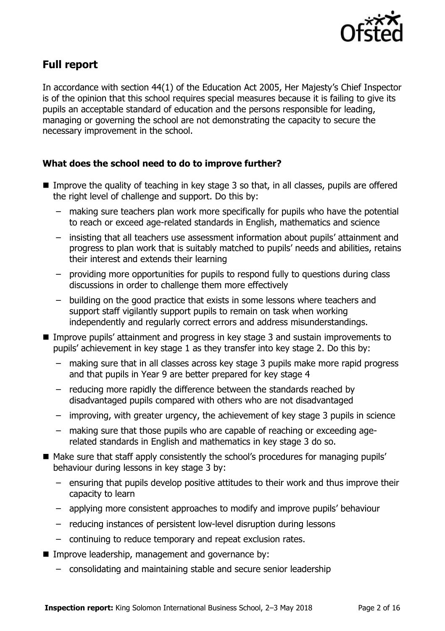

# **Full report**

In accordance with section 44(1) of the Education Act 2005, Her Majesty's Chief Inspector is of the opinion that this school requires special measures because it is failing to give its pupils an acceptable standard of education and the persons responsible for leading, managing or governing the school are not demonstrating the capacity to secure the necessary improvement in the school.

### **What does the school need to do to improve further?**

- Improve the quality of teaching in key stage 3 so that, in all classes, pupils are offered the right level of challenge and support. Do this by:
	- making sure teachers plan work more specifically for pupils who have the potential to reach or exceed age-related standards in English, mathematics and science
	- insisting that all teachers use assessment information about pupils' attainment and progress to plan work that is suitably matched to pupils' needs and abilities, retains their interest and extends their learning
	- providing more opportunities for pupils to respond fully to questions during class discussions in order to challenge them more effectively
	- building on the good practice that exists in some lessons where teachers and support staff vigilantly support pupils to remain on task when working independently and regularly correct errors and address misunderstandings.
- Improve pupils' attainment and progress in key stage 3 and sustain improvements to pupils' achievement in key stage 1 as they transfer into key stage 2. Do this by:
	- making sure that in all classes across key stage 3 pupils make more rapid progress and that pupils in Year 9 are better prepared for key stage 4
	- reducing more rapidly the difference between the standards reached by disadvantaged pupils compared with others who are not disadvantaged
	- improving, with greater urgency, the achievement of key stage 3 pupils in science
	- making sure that those pupils who are capable of reaching or exceeding agerelated standards in English and mathematics in key stage 3 do so.
- Make sure that staff apply consistently the school's procedures for managing pupils' behaviour during lessons in key stage 3 by:
	- ensuring that pupils develop positive attitudes to their work and thus improve their capacity to learn
	- applying more consistent approaches to modify and improve pupils' behaviour
	- reducing instances of persistent low-level disruption during lessons
	- continuing to reduce temporary and repeat exclusion rates.
- **IMPROVE leadership, management and governance by:** 
	- consolidating and maintaining stable and secure senior leadership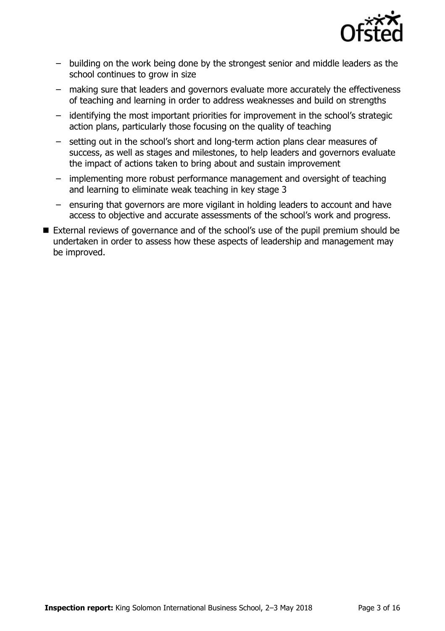

- building on the work being done by the strongest senior and middle leaders as the school continues to grow in size
- making sure that leaders and governors evaluate more accurately the effectiveness of teaching and learning in order to address weaknesses and build on strengths
- identifying the most important priorities for improvement in the school's strategic action plans, particularly those focusing on the quality of teaching
- setting out in the school's short and long-term action plans clear measures of success, as well as stages and milestones, to help leaders and governors evaluate the impact of actions taken to bring about and sustain improvement
- implementing more robust performance management and oversight of teaching and learning to eliminate weak teaching in key stage 3
- ensuring that governors are more vigilant in holding leaders to account and have access to objective and accurate assessments of the school's work and progress.
- External reviews of governance and of the school's use of the pupil premium should be undertaken in order to assess how these aspects of leadership and management may be improved.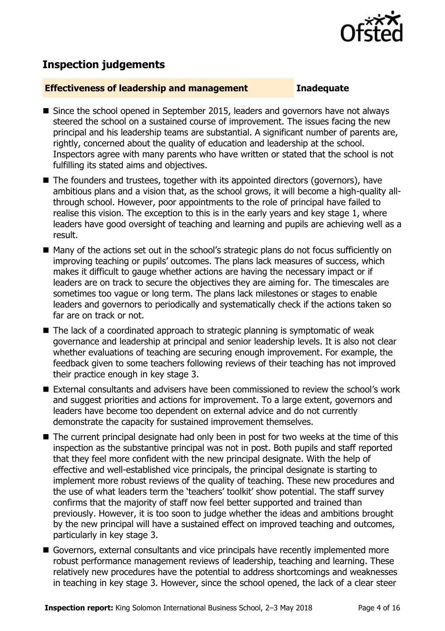

# **Inspection judgements**

#### **Effectiveness of leadership and management Inadequate**

- Since the school opened in September 2015, leaders and governors have not always steered the school on a sustained course of improvement. The issues facing the new principal and his leadership teams are substantial. A significant number of parents are, rightly, concerned about the quality of education and leadership at the school. Inspectors agree with many parents who have written or stated that the school is not fulfilling its stated aims and objectives.
- The founders and trustees, together with its appointed directors (governors), have ambitious plans and a vision that, as the school grows, it will become a high-quality allthrough school. However, poor appointments to the role of principal have failed to realise this vision. The exception to this is in the early years and key stage 1, where leaders have good oversight of teaching and learning and pupils are achieving well as a result.
- Many of the actions set out in the school's strategic plans do not focus sufficiently on improving teaching or pupils' outcomes. The plans lack measures of success, which makes it difficult to gauge whether actions are having the necessary impact or if leaders are on track to secure the objectives they are aiming for. The timescales are sometimes too vague or long term. The plans lack milestones or stages to enable leaders and governors to periodically and systematically check if the actions taken so far are on track or not.
- The lack of a coordinated approach to strategic planning is symptomatic of weak governance and leadership at principal and senior leadership levels. It is also not clear whether evaluations of teaching are securing enough improvement. For example, the feedback given to some teachers following reviews of their teaching has not improved their practice enough in key stage 3.
- External consultants and advisers have been commissioned to review the school's work and suggest priorities and actions for improvement. To a large extent, governors and leaders have become too dependent on external advice and do not currently demonstrate the capacity for sustained improvement themselves.
- The current principal designate had only been in post for two weeks at the time of this inspection as the substantive principal was not in post. Both pupils and staff reported that they feel more confident with the new principal designate. With the help of effective and well-established vice principals, the principal designate is starting to implement more robust reviews of the quality of teaching. These new procedures and the use of what leaders term the 'teachers' toolkit' show potential. The staff survey confirms that the majority of staff now feel better supported and trained than previously. However, it is too soon to judge whether the ideas and ambitions brought by the new principal will have a sustained effect on improved teaching and outcomes, particularly in key stage 3.
- Governors, external consultants and vice principals have recently implemented more robust performance management reviews of leadership, teaching and learning. These relatively new procedures have the potential to address shortcomings and weaknesses in teaching in key stage 3. However, since the school opened, the lack of a clear steer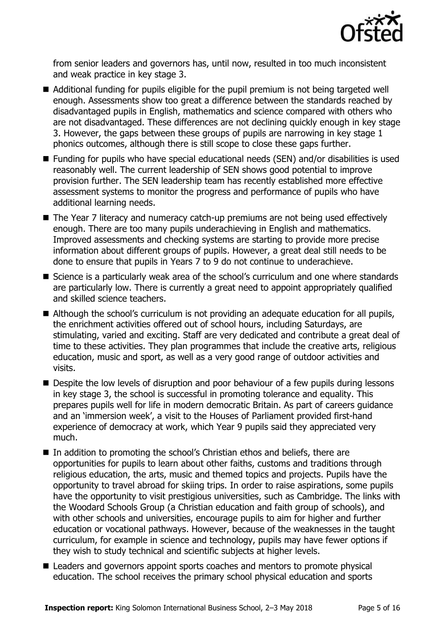

from senior leaders and governors has, until now, resulted in too much inconsistent and weak practice in key stage 3.

- Additional funding for pupils eligible for the pupil premium is not being targeted well enough. Assessments show too great a difference between the standards reached by disadvantaged pupils in English, mathematics and science compared with others who are not disadvantaged. These differences are not declining quickly enough in key stage 3. However, the gaps between these groups of pupils are narrowing in key stage 1 phonics outcomes, although there is still scope to close these gaps further.
- Funding for pupils who have special educational needs (SEN) and/or disabilities is used reasonably well. The current leadership of SEN shows good potential to improve provision further. The SEN leadership team has recently established more effective assessment systems to monitor the progress and performance of pupils who have additional learning needs.
- The Year 7 literacy and numeracy catch-up premiums are not being used effectively enough. There are too many pupils underachieving in English and mathematics. Improved assessments and checking systems are starting to provide more precise information about different groups of pupils. However, a great deal still needs to be done to ensure that pupils in Years 7 to 9 do not continue to underachieve.
- Science is a particularly weak area of the school's curriculum and one where standards are particularly low. There is currently a great need to appoint appropriately qualified and skilled science teachers.
- Although the school's curriculum is not providing an adequate education for all pupils, the enrichment activities offered out of school hours, including Saturdays, are stimulating, varied and exciting. Staff are very dedicated and contribute a great deal of time to these activities. They plan programmes that include the creative arts, religious education, music and sport, as well as a very good range of outdoor activities and visits.
- **Despite the low levels of disruption and poor behaviour of a few pupils during lessons** in key stage 3, the school is successful in promoting tolerance and equality. This prepares pupils well for life in modern democratic Britain. As part of careers guidance and an 'immersion week', a visit to the Houses of Parliament provided first-hand experience of democracy at work, which Year 9 pupils said they appreciated very much.
- In addition to promoting the school's Christian ethos and beliefs, there are opportunities for pupils to learn about other faiths, customs and traditions through religious education, the arts, music and themed topics and projects. Pupils have the opportunity to travel abroad for skiing trips. In order to raise aspirations, some pupils have the opportunity to visit prestigious universities, such as Cambridge. The links with the Woodard Schools Group (a Christian education and faith group of schools), and with other schools and universities, encourage pupils to aim for higher and further education or vocational pathways. However, because of the weaknesses in the taught curriculum, for example in science and technology, pupils may have fewer options if they wish to study technical and scientific subjects at higher levels.
- Leaders and governors appoint sports coaches and mentors to promote physical education. The school receives the primary school physical education and sports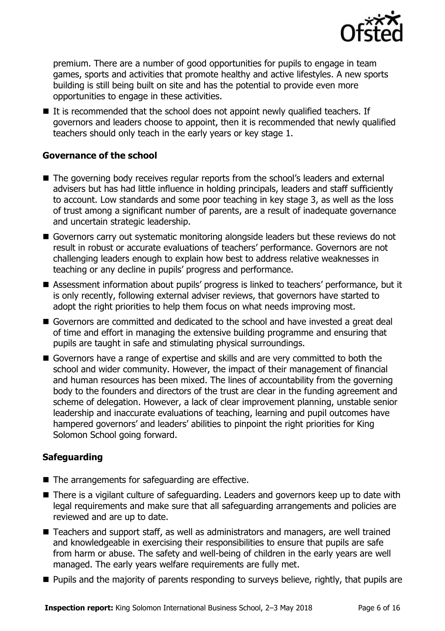

premium. There are a number of good opportunities for pupils to engage in team games, sports and activities that promote healthy and active lifestyles. A new sports building is still being built on site and has the potential to provide even more opportunities to engage in these activities.

 $\blacksquare$  It is recommended that the school does not appoint newly qualified teachers. If governors and leaders choose to appoint, then it is recommended that newly qualified teachers should only teach in the early years or key stage 1.

#### **Governance of the school**

- The governing body receives regular reports from the school's leaders and external advisers but has had little influence in holding principals, leaders and staff sufficiently to account. Low standards and some poor teaching in key stage 3, as well as the loss of trust among a significant number of parents, are a result of inadequate governance and uncertain strategic leadership.
- Governors carry out systematic monitoring alongside leaders but these reviews do not result in robust or accurate evaluations of teachers' performance. Governors are not challenging leaders enough to explain how best to address relative weaknesses in teaching or any decline in pupils' progress and performance.
- Assessment information about pupils' progress is linked to teachers' performance, but it is only recently, following external adviser reviews, that governors have started to adopt the right priorities to help them focus on what needs improving most.
- Governors are committed and dedicated to the school and have invested a great deal of time and effort in managing the extensive building programme and ensuring that pupils are taught in safe and stimulating physical surroundings.
- Governors have a range of expertise and skills and are very committed to both the school and wider community. However, the impact of their management of financial and human resources has been mixed. The lines of accountability from the governing body to the founders and directors of the trust are clear in the funding agreement and scheme of delegation. However, a lack of clear improvement planning, unstable senior leadership and inaccurate evaluations of teaching, learning and pupil outcomes have hampered governors' and leaders' abilities to pinpoint the right priorities for King Solomon School going forward.

### **Safeguarding**

- $\blacksquare$  The arrangements for safeguarding are effective.
- There is a vigilant culture of safeguarding. Leaders and governors keep up to date with legal requirements and make sure that all safeguarding arrangements and policies are reviewed and are up to date.
- Teachers and support staff, as well as administrators and managers, are well trained and knowledgeable in exercising their responsibilities to ensure that pupils are safe from harm or abuse. The safety and well-being of children in the early years are well managed. The early years welfare requirements are fully met.
- **Pupils and the majority of parents responding to surveys believe, rightly, that pupils are**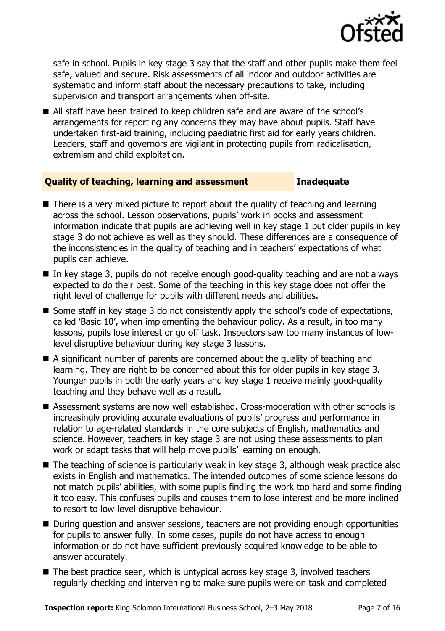

safe in school. Pupils in key stage 3 say that the staff and other pupils make them feel safe, valued and secure. Risk assessments of all indoor and outdoor activities are systematic and inform staff about the necessary precautions to take, including supervision and transport arrangements when off-site.

■ All staff have been trained to keep children safe and are aware of the school's arrangements for reporting any concerns they may have about pupils. Staff have undertaken first-aid training, including paediatric first aid for early years children. Leaders, staff and governors are vigilant in protecting pupils from radicalisation, extremism and child exploitation.

#### **Quality of teaching, learning and assessment Inadequate**

- $\blacksquare$  There is a very mixed picture to report about the quality of teaching and learning across the school. Lesson observations, pupils' work in books and assessment information indicate that pupils are achieving well in key stage 1 but older pupils in key stage 3 do not achieve as well as they should. These differences are a consequence of the inconsistencies in the quality of teaching and in teachers' expectations of what pupils can achieve.
- In key stage 3, pupils do not receive enough good-quality teaching and are not always expected to do their best. Some of the teaching in this key stage does not offer the right level of challenge for pupils with different needs and abilities.
- $\blacksquare$  Some staff in key stage 3 do not consistently apply the school's code of expectations, called 'Basic 10', when implementing the behaviour policy. As a result, in too many lessons, pupils lose interest or go off task. Inspectors saw too many instances of lowlevel disruptive behaviour during key stage 3 lessons.
- A significant number of parents are concerned about the quality of teaching and learning. They are right to be concerned about this for older pupils in key stage 3. Younger pupils in both the early years and key stage 1 receive mainly good-quality teaching and they behave well as a result.
- Assessment systems are now well established. Cross-moderation with other schools is increasingly providing accurate evaluations of pupils' progress and performance in relation to age-related standards in the core subjects of English, mathematics and science. However, teachers in key stage 3 are not using these assessments to plan work or adapt tasks that will help move pupils' learning on enough.
- The teaching of science is particularly weak in key stage 3, although weak practice also exists in English and mathematics. The intended outcomes of some science lessons do not match pupils' abilities, with some pupils finding the work too hard and some finding it too easy. This confuses pupils and causes them to lose interest and be more inclined to resort to low-level disruptive behaviour.
- During question and answer sessions, teachers are not providing enough opportunities for pupils to answer fully. In some cases, pupils do not have access to enough information or do not have sufficient previously acquired knowledge to be able to answer accurately.
- $\blacksquare$  The best practice seen, which is untypical across key stage 3, involved teachers regularly checking and intervening to make sure pupils were on task and completed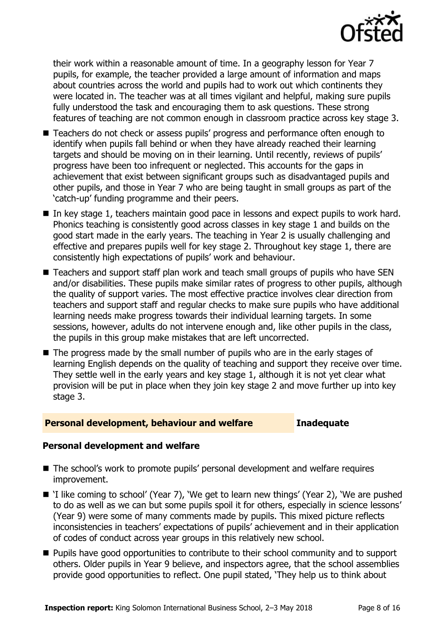

their work within a reasonable amount of time. In a geography lesson for Year 7 pupils, for example, the teacher provided a large amount of information and maps about countries across the world and pupils had to work out which continents they were located in. The teacher was at all times vigilant and helpful, making sure pupils fully understood the task and encouraging them to ask questions. These strong features of teaching are not common enough in classroom practice across key stage 3.

- Teachers do not check or assess pupils' progress and performance often enough to identify when pupils fall behind or when they have already reached their learning targets and should be moving on in their learning. Until recently, reviews of pupils' progress have been too infrequent or neglected. This accounts for the gaps in achievement that exist between significant groups such as disadvantaged pupils and other pupils, and those in Year 7 who are being taught in small groups as part of the 'catch-up' funding programme and their peers.
- In key stage 1, teachers maintain good pace in lessons and expect pupils to work hard. Phonics teaching is consistently good across classes in key stage 1 and builds on the good start made in the early years. The teaching in Year 2 is usually challenging and effective and prepares pupils well for key stage 2. Throughout key stage 1, there are consistently high expectations of pupils' work and behaviour.
- Teachers and support staff plan work and teach small groups of pupils who have SEN and/or disabilities. These pupils make similar rates of progress to other pupils, although the quality of support varies. The most effective practice involves clear direction from teachers and support staff and regular checks to make sure pupils who have additional learning needs make progress towards their individual learning targets. In some sessions, however, adults do not intervene enough and, like other pupils in the class, the pupils in this group make mistakes that are left uncorrected.
- The progress made by the small number of pupils who are in the early stages of learning English depends on the quality of teaching and support they receive over time. They settle well in the early years and key stage 1, although it is not yet clear what provision will be put in place when they join key stage 2 and move further up into key stage 3.

#### **Personal development, behaviour and welfare Inadequate**

### **Personal development and welfare**

- The school's work to promote pupils' personal development and welfare requires improvement.
- 'I like coming to school' (Year 7), 'We get to learn new things' (Year 2), 'We are pushed to do as well as we can but some pupils spoil it for others, especially in science lessons' (Year 9) were some of many comments made by pupils. This mixed picture reflects inconsistencies in teachers' expectations of pupils' achievement and in their application of codes of conduct across year groups in this relatively new school.
- **Pupils have good opportunities to contribute to their school community and to support** others. Older pupils in Year 9 believe, and inspectors agree, that the school assemblies provide good opportunities to reflect. One pupil stated, 'They help us to think about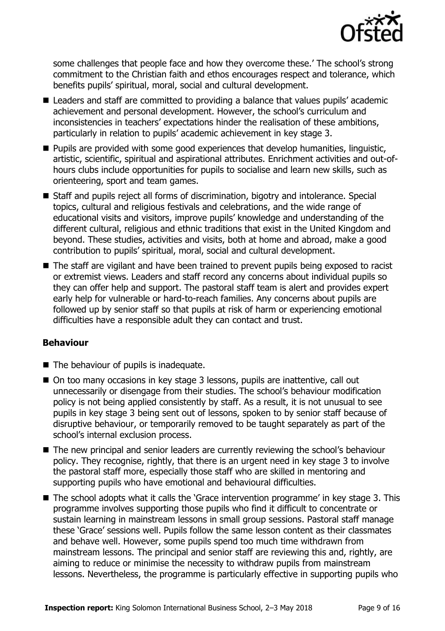

some challenges that people face and how they overcome these.' The school's strong commitment to the Christian faith and ethos encourages respect and tolerance, which benefits pupils' spiritual, moral, social and cultural development.

- Leaders and staff are committed to providing a balance that values pupils' academic achievement and personal development. However, the school's curriculum and inconsistencies in teachers' expectations hinder the realisation of these ambitions, particularly in relation to pupils' academic achievement in key stage 3.
- **Pupils are provided with some good experiences that develop humanities, linguistic,** artistic, scientific, spiritual and aspirational attributes. Enrichment activities and out-ofhours clubs include opportunities for pupils to socialise and learn new skills, such as orienteering, sport and team games.
- Staff and pupils reject all forms of discrimination, bigotry and intolerance. Special topics, cultural and religious festivals and celebrations, and the wide range of educational visits and visitors, improve pupils' knowledge and understanding of the different cultural, religious and ethnic traditions that exist in the United Kingdom and beyond. These studies, activities and visits, both at home and abroad, make a good contribution to pupils' spiritual, moral, social and cultural development.
- The staff are vigilant and have been trained to prevent pupils being exposed to racist or extremist views. Leaders and staff record any concerns about individual pupils so they can offer help and support. The pastoral staff team is alert and provides expert early help for vulnerable or hard-to-reach families. Any concerns about pupils are followed up by senior staff so that pupils at risk of harm or experiencing emotional difficulties have a responsible adult they can contact and trust.

### **Behaviour**

- $\blacksquare$  The behaviour of pupils is inadequate.
- On too many occasions in key stage 3 lessons, pupils are inattentive, call out unnecessarily or disengage from their studies. The school's behaviour modification policy is not being applied consistently by staff. As a result, it is not unusual to see pupils in key stage 3 being sent out of lessons, spoken to by senior staff because of disruptive behaviour, or temporarily removed to be taught separately as part of the school's internal exclusion process.
- The new principal and senior leaders are currently reviewing the school's behaviour policy. They recognise, rightly, that there is an urgent need in key stage 3 to involve the pastoral staff more, especially those staff who are skilled in mentoring and supporting pupils who have emotional and behavioural difficulties.
- The school adopts what it calls the 'Grace intervention programme' in key stage 3. This programme involves supporting those pupils who find it difficult to concentrate or sustain learning in mainstream lessons in small group sessions. Pastoral staff manage these 'Grace' sessions well. Pupils follow the same lesson content as their classmates and behave well. However, some pupils spend too much time withdrawn from mainstream lessons. The principal and senior staff are reviewing this and, rightly, are aiming to reduce or minimise the necessity to withdraw pupils from mainstream lessons. Nevertheless, the programme is particularly effective in supporting pupils who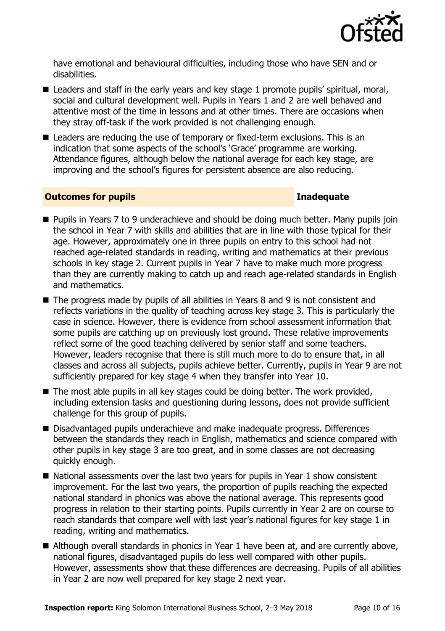

have emotional and behavioural difficulties, including those who have SEN and or disabilities.

- Leaders and staff in the early years and key stage 1 promote pupils' spiritual, moral, social and cultural development well. Pupils in Years 1 and 2 are well behaved and attentive most of the time in lessons and at other times. There are occasions when they stray off-task if the work provided is not challenging enough.
- Leaders are reducing the use of temporary or fixed-term exclusions. This is an indication that some aspects of the school's 'Grace' programme are working. Attendance figures, although below the national average for each key stage, are improving and the school's figures for persistent absence are also reducing.

#### **Outcomes for pupils Inadequate**

- **Pupils in Years 7 to 9 underachieve and should be doing much better. Many pupils join** the school in Year 7 with skills and abilities that are in line with those typical for their age. However, approximately one in three pupils on entry to this school had not reached age-related standards in reading, writing and mathematics at their previous schools in key stage 2. Current pupils in Year 7 have to make much more progress than they are currently making to catch up and reach age-related standards in English and mathematics.
- The progress made by pupils of all abilities in Years 8 and 9 is not consistent and reflects variations in the quality of teaching across key stage 3. This is particularly the case in science. However, there is evidence from school assessment information that some pupils are catching up on previously lost ground. These relative improvements reflect some of the good teaching delivered by senior staff and some teachers. However, leaders recognise that there is still much more to do to ensure that, in all classes and across all subjects, pupils achieve better. Currently, pupils in Year 9 are not sufficiently prepared for key stage 4 when they transfer into Year 10.
- The most able pupils in all key stages could be doing better. The work provided, including extension tasks and questioning during lessons, does not provide sufficient challenge for this group of pupils.
- Disadvantaged pupils underachieve and make inadequate progress. Differences between the standards they reach in English, mathematics and science compared with other pupils in key stage 3 are too great, and in some classes are not decreasing quickly enough.
- $\blacksquare$  National assessments over the last two years for pupils in Year 1 show consistent improvement. For the last two years, the proportion of pupils reaching the expected national standard in phonics was above the national average. This represents good progress in relation to their starting points. Pupils currently in Year 2 are on course to reach standards that compare well with last year's national figures for key stage 1 in reading, writing and mathematics.
- Although overall standards in phonics in Year 1 have been at, and are currently above, national figures, disadvantaged pupils do less well compared with other pupils. However, assessments show that these differences are decreasing. Pupils of all abilities in Year 2 are now well prepared for key stage 2 next year.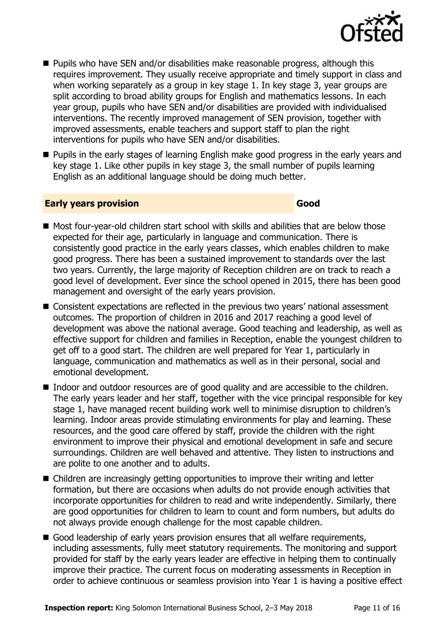

- **Pupils who have SEN and/or disabilities make reasonable progress, although this** requires improvement. They usually receive appropriate and timely support in class and when working separately as a group in key stage 1. In key stage 3, year groups are split according to broad ability groups for English and mathematics lessons. In each year group, pupils who have SEN and/or disabilities are provided with individualised interventions. The recently improved management of SEN provision, together with improved assessments, enable teachers and support staff to plan the right interventions for pupils who have SEN and/or disabilities.
- **Pupils in the early stages of learning English make good progress in the early years and** key stage 1. Like other pupils in key stage 3, the small number of pupils learning English as an additional language should be doing much better.

#### **Early years provision Good Good**

- Most four-year-old children start school with skills and abilities that are below those expected for their age, particularly in language and communication. There is consistently good practice in the early years classes, which enables children to make good progress. There has been a sustained improvement to standards over the last two years. Currently, the large majority of Reception children are on track to reach a good level of development. Ever since the school opened in 2015, there has been good management and oversight of the early years provision.
- Consistent expectations are reflected in the previous two years' national assessment outcomes. The proportion of children in 2016 and 2017 reaching a good level of development was above the national average. Good teaching and leadership, as well as effective support for children and families in Reception, enable the youngest children to get off to a good start. The children are well prepared for Year 1, particularly in language, communication and mathematics as well as in their personal, social and emotional development.
- Indoor and outdoor resources are of good quality and are accessible to the children. The early years leader and her staff, together with the vice principal responsible for key stage 1, have managed recent building work well to minimise disruption to children's learning. Indoor areas provide stimulating environments for play and learning. These resources, and the good care offered by staff, provide the children with the right environment to improve their physical and emotional development in safe and secure surroundings. Children are well behaved and attentive. They listen to instructions and are polite to one another and to adults.
- Children are increasingly getting opportunities to improve their writing and letter formation, but there are occasions when adults do not provide enough activities that incorporate opportunities for children to read and write independently. Similarly, there are good opportunities for children to learn to count and form numbers, but adults do not always provide enough challenge for the most capable children.
- Good leadership of early years provision ensures that all welfare requirements, including assessments, fully meet statutory requirements. The monitoring and support provided for staff by the early years leader are effective in helping them to continually improve their practice. The current focus on moderating assessments in Reception in order to achieve continuous or seamless provision into Year 1 is having a positive effect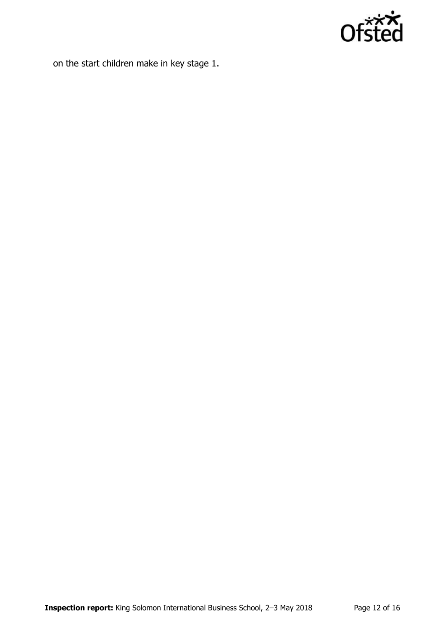

on the start children make in key stage 1.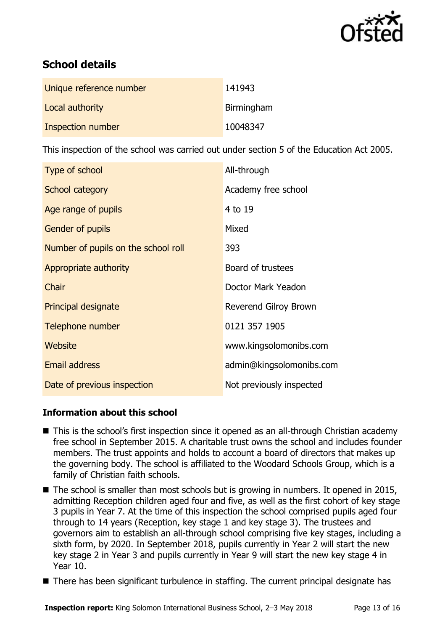

# **School details**

| Unique reference number | 141943     |
|-------------------------|------------|
| Local authority         | Birmingham |
| Inspection number       | 10048347   |

This inspection of the school was carried out under section 5 of the Education Act 2005.

| Type of school                      | All-through              |
|-------------------------------------|--------------------------|
| School category                     | Academy free school      |
| Age range of pupils                 | 4 to 19                  |
| Gender of pupils                    | Mixed                    |
| Number of pupils on the school roll | 393                      |
| Appropriate authority               | Board of trustees        |
| Chair                               | Doctor Mark Yeadon       |
| <b>Principal designate</b>          | Reverend Gilroy Brown    |
| Telephone number                    | 0121 357 1905            |
| Website                             | www.kingsolomonibs.com   |
| <b>Email address</b>                | admin@kingsolomonibs.com |
| Date of previous inspection         | Not previously inspected |

### **Information about this school**

- This is the school's first inspection since it opened as an all-through Christian academy free school in September 2015. A charitable trust owns the school and includes founder members. The trust appoints and holds to account a board of directors that makes up the governing body. The school is affiliated to the Woodard Schools Group, which is a family of Christian faith schools.
- The school is smaller than most schools but is growing in numbers. It opened in 2015, admitting Reception children aged four and five, as well as the first cohort of key stage 3 pupils in Year 7. At the time of this inspection the school comprised pupils aged four through to 14 years (Reception, key stage 1 and key stage 3). The trustees and governors aim to establish an all-through school comprising five key stages, including a sixth form, by 2020. In September 2018, pupils currently in Year 2 will start the new key stage 2 in Year 3 and pupils currently in Year 9 will start the new key stage 4 in Year 10.
- There has been significant turbulence in staffing. The current principal designate has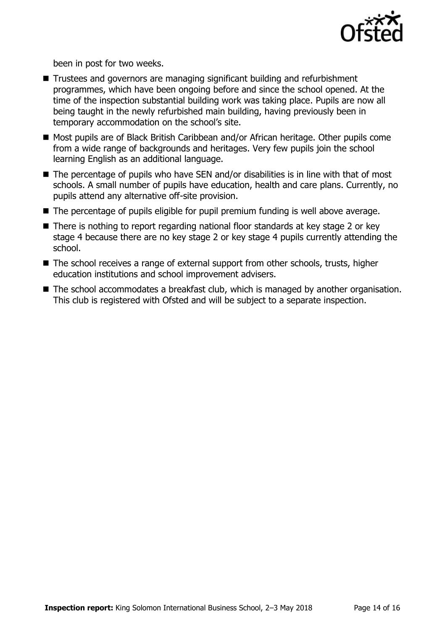

been in post for two weeks.

- Trustees and governors are managing significant building and refurbishment programmes, which have been ongoing before and since the school opened. At the time of the inspection substantial building work was taking place. Pupils are now all being taught in the newly refurbished main building, having previously been in temporary accommodation on the school's site.
- Most pupils are of Black British Caribbean and/or African heritage. Other pupils come from a wide range of backgrounds and heritages. Very few pupils join the school learning English as an additional language.
- $\blacksquare$  The percentage of pupils who have SEN and/or disabilities is in line with that of most schools. A small number of pupils have education, health and care plans. Currently, no pupils attend any alternative off-site provision.
- The percentage of pupils eligible for pupil premium funding is well above average.
- There is nothing to report regarding national floor standards at key stage 2 or key stage 4 because there are no key stage 2 or key stage 4 pupils currently attending the school.
- The school receives a range of external support from other schools, trusts, higher education institutions and school improvement advisers.
- The school accommodates a breakfast club, which is managed by another organisation. This club is registered with Ofsted and will be subject to a separate inspection.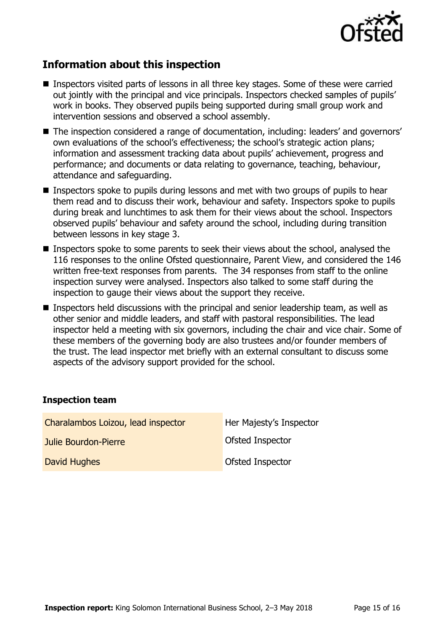

# **Information about this inspection**

- Inspectors visited parts of lessons in all three key stages. Some of these were carried out jointly with the principal and vice principals. Inspectors checked samples of pupils' work in books. They observed pupils being supported during small group work and intervention sessions and observed a school assembly.
- The inspection considered a range of documentation, including: leaders' and governors' own evaluations of the school's effectiveness; the school's strategic action plans; information and assessment tracking data about pupils' achievement, progress and performance; and documents or data relating to governance, teaching, behaviour, attendance and safeguarding.
- **Inspectors spoke to pupils during lessons and met with two groups of pupils to hear** them read and to discuss their work, behaviour and safety. Inspectors spoke to pupils during break and lunchtimes to ask them for their views about the school. Inspectors observed pupils' behaviour and safety around the school, including during transition between lessons in key stage 3.
- **Inspectors spoke to some parents to seek their views about the school, analysed the** 116 responses to the online Ofsted questionnaire, Parent View, and considered the 146 written free-text responses from parents. The 34 responses from staff to the online inspection survey were analysed. Inspectors also talked to some staff during the inspection to gauge their views about the support they receive.
- Inspectors held discussions with the principal and senior leadership team, as well as other senior and middle leaders, and staff with pastoral responsibilities. The lead inspector held a meeting with six governors, including the chair and vice chair. Some of these members of the governing body are also trustees and/or founder members of the trust. The lead inspector met briefly with an external consultant to discuss some aspects of the advisory support provided for the school.

#### **Inspection team**

| Charalambos Loizou, lead inspector | Her Majesty's Inspector |
|------------------------------------|-------------------------|
| Julie Bourdon-Pierre               | Ofsted Inspector        |
| David Hughes                       | Ofsted Inspector        |